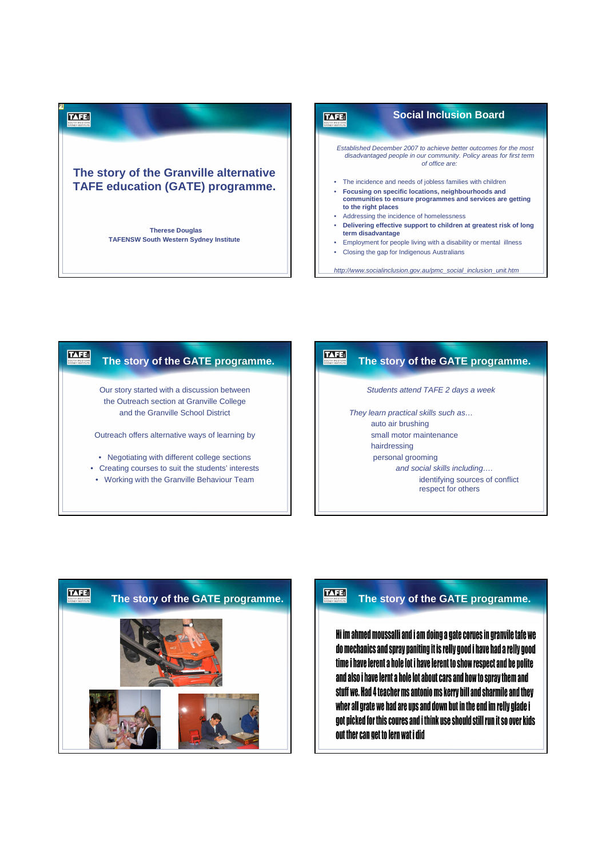# P1 **TAFE: The story of the Granville alternative TAFE education (GATE) programme. Therese Douglas TAFENSW South Western Sydney Institute**



#### TAFE: **The story of the GATE programme.**

Our story started with a discussion between the Outreach section at Granville College and the Granville School District

Outreach offers alternative ways of learning by

- Negotiating with different college sections
- Creating courses to suit the students' interests
- Working with the Granville Behaviour Team

## **The story of the GATE programme.**

Students attend TAFE 2 days a week

They learn practical skills such as… auto air brushing small motor maintenance hairdressing personal grooming

**TAFE:** 

and social skills including….

identifying sources of conflict respect for others



Hi im ahmed moussalli and i am doing a gate corues in granvile tafe we do mechanics and spray paniting it is relly good i have had a relly good time i have lerent a hole lot i have lerent to show respect and be polite and also i have lernt a hole lot about cars and how to spray them and stuff we. Had 4 teacher ms antonio ms kerry bill and sharmile and they wher all grate we had are ups and down but in the end im relly glade i got picked for this coures and i think use should still run it so over kids out ther can get to lern wat i did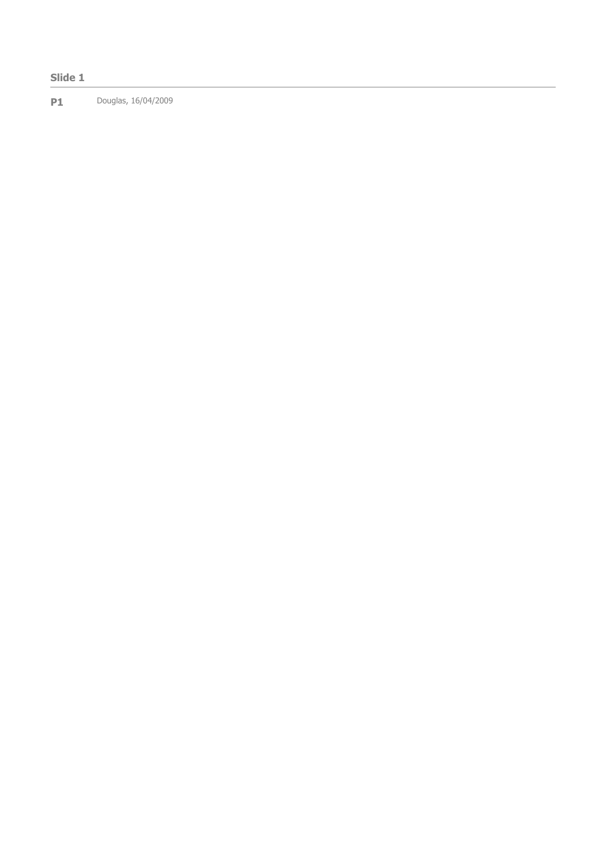### Slide 1

**P1** Douglas, 16/04/2009